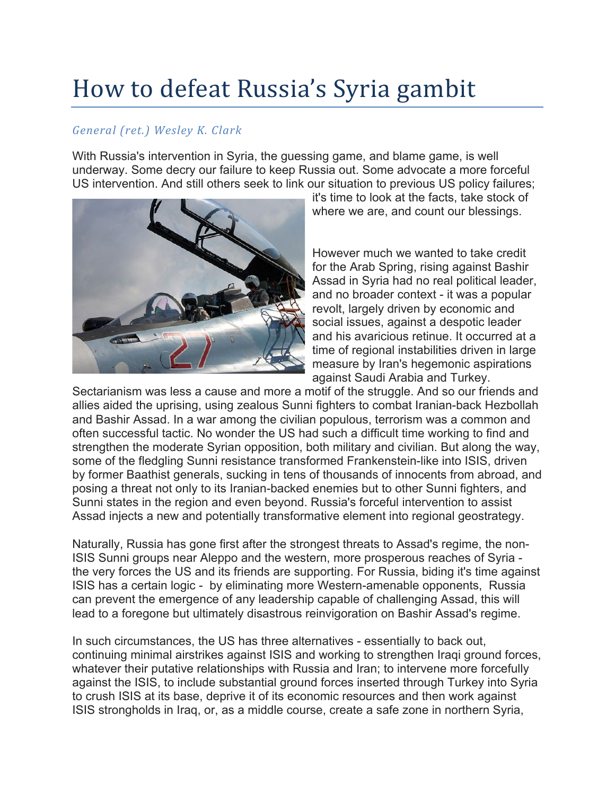## How to defeat Russia's Syria gambit

## *General (ret.) Wesley K. Clark*

With Russia's intervention in Syria, the guessing game, and blame game, is well underway. Some decry our failure to keep Russia out. Some advocate a more forceful US intervention. And still others seek to link our situation to previous US policy failures;



it's time to look at the facts, take stock of where we are, and count our blessings.

However much we wanted to take credit for the Arab Spring, rising against Bashir Assad in Syria had no real political leader, and no broader context - it was a popular revolt, largely driven by economic and social issues, against a despotic leader and his avaricious retinue. It occurred at a time of regional instabilities driven in large measure by Iran's hegemonic aspirations against Saudi Arabia and Turkey.

Sectarianism was less a cause and more a motif of the struggle. And so our friends and allies aided the uprising, using zealous Sunni fighters to combat Iranian-back Hezbollah and Bashir Assad. In a war among the civilian populous, terrorism was a common and often successful tactic. No wonder the US had such a difficult time working to find and strengthen the moderate Syrian opposition, both military and civilian. But along the way, some of the fledgling Sunni resistance transformed Frankenstein-like into ISIS, driven by former Baathist generals, sucking in tens of thousands of innocents from abroad, and posing a threat not only to its Iranian-backed enemies but to other Sunni fighters, and Sunni states in the region and even beyond. Russia's forceful intervention to assist Assad injects a new and potentially transformative element into regional geostrategy.

Naturally, Russia has gone first after the strongest threats to Assad's regime, the non-ISIS Sunni groups near Aleppo and the western, more prosperous reaches of Syria the very forces the US and its friends are supporting. For Russia, biding it's time against ISIS has a certain logic - by eliminating more Western-amenable opponents, Russia can prevent the emergence of any leadership capable of challenging Assad, this will lead to a foregone but ultimately disastrous reinvigoration on Bashir Assad's regime.

In such circumstances, the US has three alternatives - essentially to back out, continuing minimal airstrikes against ISIS and working to strengthen Iraqi ground forces, whatever their putative relationships with Russia and Iran; to intervene more forcefully against the ISIS, to include substantial ground forces inserted through Turkey into Syria to crush ISIS at its base, deprive it of its economic resources and then work against ISIS strongholds in Iraq, or, as a middle course, create a safe zone in northern Syria,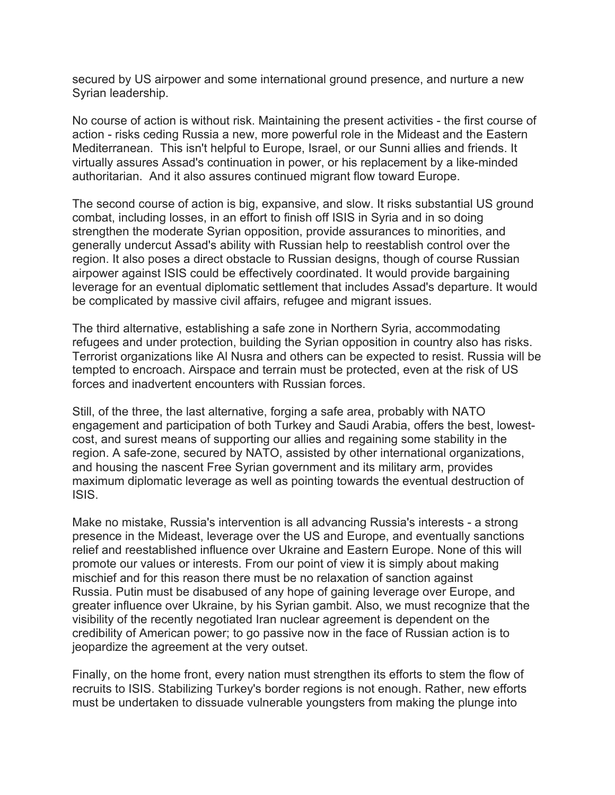secured by US airpower and some international ground presence, and nurture a new Syrian leadership.

No course of action is without risk. Maintaining the present activities - the first course of action - risks ceding Russia a new, more powerful role in the Mideast and the Eastern Mediterranean. This isn't helpful to Europe, Israel, or our Sunni allies and friends. It virtually assures Assad's continuation in power, or his replacement by a like-minded authoritarian. And it also assures continued migrant flow toward Europe.

The second course of action is big, expansive, and slow. It risks substantial US ground combat, including losses, in an effort to finish off ISIS in Syria and in so doing strengthen the moderate Syrian opposition, provide assurances to minorities, and generally undercut Assad's ability with Russian help to reestablish control over the region. It also poses a direct obstacle to Russian designs, though of course Russian airpower against ISIS could be effectively coordinated. It would provide bargaining leverage for an eventual diplomatic settlement that includes Assad's departure. It would be complicated by massive civil affairs, refugee and migrant issues.

The third alternative, establishing a safe zone in Northern Syria, accommodating refugees and under protection, building the Syrian opposition in country also has risks. Terrorist organizations like Al Nusra and others can be expected to resist. Russia will be tempted to encroach. Airspace and terrain must be protected, even at the risk of US forces and inadvertent encounters with Russian forces.

Still, of the three, the last alternative, forging a safe area, probably with NATO engagement and participation of both Turkey and Saudi Arabia, offers the best, lowestcost, and surest means of supporting our allies and regaining some stability in the region. A safe-zone, secured by NATO, assisted by other international organizations, and housing the nascent Free Syrian government and its military arm, provides maximum diplomatic leverage as well as pointing towards the eventual destruction of ISIS.

Make no mistake, Russia's intervention is all advancing Russia's interests - a strong presence in the Mideast, leverage over the US and Europe, and eventually sanctions relief and reestablished influence over Ukraine and Eastern Europe. None of this will promote our values or interests. From our point of view it is simply about making mischief and for this reason there must be no relaxation of sanction against Russia. Putin must be disabused of any hope of gaining leverage over Europe, and greater influence over Ukraine, by his Syrian gambit. Also, we must recognize that the visibility of the recently negotiated Iran nuclear agreement is dependent on the credibility of American power; to go passive now in the face of Russian action is to jeopardize the agreement at the very outset.

Finally, on the home front, every nation must strengthen its efforts to stem the flow of recruits to ISIS. Stabilizing Turkey's border regions is not enough. Rather, new efforts must be undertaken to dissuade vulnerable youngsters from making the plunge into